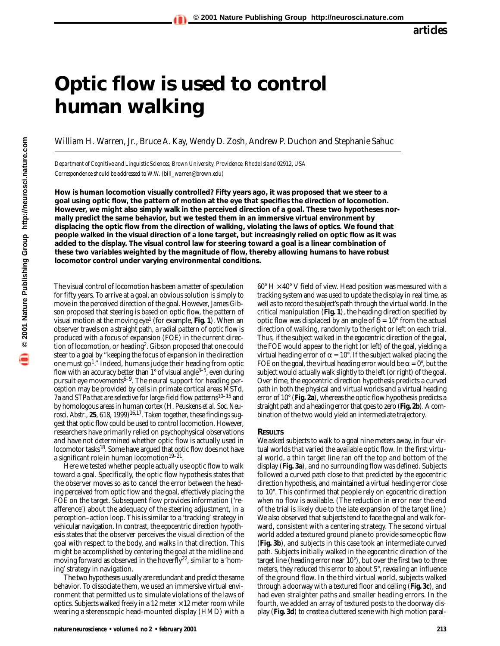*articles*

# **Optic flow is used to control human walking**

William H. Warren, Jr., Bruce A. Kay, Wendy D. Zosh, Andrew P. Duchon and Stephanie Sahuc

*Department of Cognitive and Linguistic Sciences, Brown University, Providence, Rhode Island 02912, USA Correspondence should be addressed to W.W. (bill\_warren@brown.edu)*

**How is human locomotion visually controlled? Fifty years ago, it was proposed that we steer to a goal using optic flow, the pattern of motion at the eye that specifies the direction of locomotion. However, we might also simply walk in the perceived direction of a goal. These two hypotheses normally predict the same behavior, but we tested them in an immersive virtual environment by displacing the optic flow from the direction of walking, violating the laws of optics. We found that people walked in the visual direction of a lone target, but increasingly relied on optic flow as it was added to the display. The visual control law for steering toward a goal is a linear combination of these two variables weighted by the magnitude of flow, thereby allowing humans to have robust locomotor control under varying environmental conditions.**

The visual control of locomotion has been a matter of speculation for fifty years. To arrive at a goal, an obvious solution is simply to move in the perceived direction of the goal. However, James Gibson proposed that steering is based on optic flow, the pattern of visual motion at the moving eye1 (for example, **Fig. 1**). When an observer travels on a straight path, a radial pattern of optic flow is produced with a focus of expansion (FOE) in the current direction of locomotion, or heading<sup>2</sup>. Gibson proposed that one could steer to a goal by "keeping the focus of expansion in the direction one must go1." Indeed, humans judge their heading from optic flow with an accuracy better than  $1^{\circ}$  of visual angle<sup>3-5</sup>, even during pursuit eye movements $6-9$ . The neural support for heading perception may be provided by cells in primate cortical areas MSTd, 7a and STPa that are selective for large-field flow patterns10–15 and by homologous areas in human cortex (H. Peuskens *et al. Soc. Neurosci. Abstr.*, **25**, 618, 1999)<sup>16,17</sup>. Taken together, these findings suggest that optic flow could be used to control locomotion. However, researchers have primarily relied on psychophysical observations and have not determined whether optic flow is actually used in locomotor tasks<sup>18</sup>. Some have argued that optic flow does not have a significant role in human locomotion $19-21$ .

Here we tested whether people actually use optic flow to walk toward a goal. Specifically, the optic flow hypothesis states that the observer moves so as to cancel the error between the heading perceived from optic flow and the goal, effectively placing the FOE on the target. Subsequent flow provides information ('reafference') about the adequacy of the steering adjustment, in a perception–action loop. This is similar to a 'tracking' strategy in vehicular navigation. In contrast, the egocentric direction hypothesis states that the observer perceives the visual direction of the goal with respect to the body, and walks in that direction. This might be accomplished by centering the goal at the midline and moving forward as observed in the hoverfly<sup>22</sup>, similar to a 'homing' strategy in navigation.

The two hypotheses usually are redundant and predict the same behavior. To dissociate them, we used an immersive virtual environment that permitted us to simulate violations of the laws of optics. Subjects walked freely in a 12 meter  $\times$  12 meter room while wearing a stereoscopic head-mounted display (HMD) with a

 $60^{\circ}$  H  $\times$  40° V field of view. Head position was measured with a tracking system and was used to update the display in real time, as well as to record the subject's path through the virtual world. In the critical manipulation (**Fig. 1**), the heading direction specified by optic flow was displaced by an angle of  $\delta = 10^{\circ}$  from the actual direction of walking, randomly to the right or left on each trial. Thus, if the subject walked in the egocentric direction of the goal, the FOE would appear to the right (or left) of the goal, yielding a virtual heading error of α = 10°. If the subject walked placing the FOE on the goal, the virtual heading error would be  $\alpha = 0^{\circ}$ , but the subject would actually walk slightly to the left (or right) of the goal. Over time, the egocentric direction hypothesis predicts a curved path in both the physical and virtual worlds and a virtual heading error of 10° (**Fig. 2a**), whereas the optic flow hypothesis predicts a straight path and a heading error that goes to zero (**Fig. 2b**). A combination of the two would yield an intermediate trajectory.

## **RESULTS**

We asked subjects to walk to a goal nine meters away, in four virtual worlds that varied the available optic flow. In the first virtual world, a thin target line ran off the top and bottom of the display (**Fig. 3a**), and no surrounding flow was defined. Subjects followed a curved path close to that predicted by the egocentric direction hypothesis, and maintained a virtual heading error close to 10°. This confirmed that people rely on egocentric direction when no flow is available. (The reduction in error near the end of the trial is likely due to the late expansion of the target line.) We also observed that subjects tend to face the goal and walk forward, consistent with a centering strategy. The second virtual world added a textured ground plane to provide some optic flow (**Fig. 3b**), and subjects in this case took an intermediate curved path. Subjects initially walked in the egocentric direction of the target line (heading error near 10°), but over the first two to three meters, they reduced this error to about 5°, revealing an influence of the ground flow. In the third virtual world, subjects walked through a doorway with a textured floor and ceiling (**Fig. 3c**), and had even straighter paths and smaller heading errors. In the fourth, we added an array of textured posts to the doorway display (**Fig. 3d**) to create a cluttered scene with high motion paral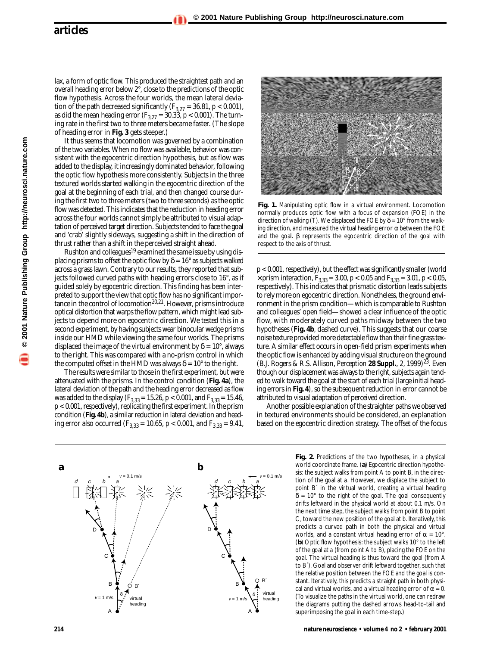lax, a form of optic flow. This produced the straightest path and an overall heading error below 2°, close to the predictions of the optic flow hypothesis. Across the four worlds, the mean lateral deviation of the path decreased significantly  $(F_{3,27} = 36.81, p < 0.001)$ , as did the mean heading error  $(F_{3,27} = 30.33, p < 0.001)$ . The turning rate in the first two to three meters became faster. (The slope of heading error in **Fig. 3** gets steeper.)

It thus seems that locomotion was governed by a combination of the two variables. When no flow was available, behavior was consistent with the egocentric direction hypothesis, but as flow was added to the display, it increasingly dominated behavior, following the optic flow hypothesis more consistently. Subjects in the three textured worlds started walking in the egocentric direction of the goal at the beginning of each trial, and then changed course during the first two to three meters (two to three seconds) as the optic flow was detected. This indicates that the reduction in heading error across the four worlds cannot simply be attributed to visual adaptation of perceived target direction. Subjects tended to face the goal and 'crab' slightly sideways, suggesting a shift in the direction of thrust rather than a shift in the perceived straight ahead.

Rushton and colleagues<sup>19</sup> examined the same issue by using displacing prisms to offset the optic flow by  $\delta = 16^{\circ}$  as subjects walked across a grass lawn. Contrary to our results, they reported that subjects followed curved paths with heading errors close to 16°, as if guided solely by egocentric direction. This finding has been interpreted to support the view that optic flow has no significant importance in the control of locomotion $20,21$ . However, prisms introduce optical distortion that warps the flow pattern, which might lead subjects to depend more on egocentric direction. We tested this in a second experiment, by having subjects wear binocular wedge prisms inside our HMD while viewing the same four worlds. The prisms displaced the image of the virtual environment by  $\delta = 10^{\circ}$ , always to the right. This was compared with a no-prism control in which the computed offset in the HMD was always  $\delta = 10^{\circ}$  to the right.

The results were similar to those in the first experiment, but were attenuated with the prisms. In the control condition (**Fig. 4a**), the lateral deviation of the path and the heading error decreased as flow was added to the display (F<sub>3,33</sub> = 15.26,  $p < 0.001$ , and F<sub>3,33</sub> = 15.46, *p* < 0.001, respectively), replicating the first experiment. In the prism condition (**Fig. 4b**), a similar reduction in lateral deviation and heading error also occurred ( $F_{3,33} = 10.65$ ,  $p < 0.001$ , and  $F_{3,33} = 9.41$ ,



**Fig. 1.** Manipulating optic flow in a virtual environment. Locomotion normally produces optic flow with a focus of expansion (FOE) in the direction of walking (T). We displaced the FOE by  $\delta = 10^{\circ}$  from the walking direction, and measured the virtual heading error  $\alpha$  between the FOE and the goal. β represents the egocentric direction of the goal with respect to the axis of thrust.

*p* < 0.001, respectively), but the effect was significantly smaller (world  $\times$  prism interaction,  $F_{3,33} = 3.00, p < 0.05$  and  $F_{3,33} = 3.01, p < 0.05,$ respectively). This indicates that prismatic distortion leads subjects to rely more on egocentric direction. Nonetheless, the ground environment in the prism condition—which is comparable to Rushton and colleagues' open field—showed a clear influence of the optic flow, with moderately curved paths midway between the two hypotheses (**Fig. 4b**, dashed curve). This suggests that our coarse noise texture provided more detectable flow than their fine grass texture. A similar effect occurs in open-field prism experiments when the optic flow is enhanced by adding visual structure on the ground (B.J. Rogers & R.S. Allison, *Perception* 28 Suppl., 2, 1999)<sup>23</sup>. Even though our displacement was always to the right, subjects again tended to walk toward the goal at the start of each trial (large initial heading errors in **Fig. 4**), so the subsequent reduction in error cannot be attributed to visual adaptation of perceived direction.

Another possible explanation of the straighter paths we observed in textured environments should be considered, an explanation based on the egocentric direction strategy. The offset of the focus

> **Fig. 2.** Predictions of the two hypotheses, in a physical world coordinate frame. (**a**) Egocentric direction hypothesis: the subject walks from point A to point B, in the direction of the goal at *a*. However, we displace the subject to point B´ in the virtual world, creating a virtual heading  $\delta$  = 10° to the right of the goal. The goal consequently drifts leftward in the physical world at about 0.1 m/s. On the next time step, the subject walks from point B to point C, toward the new position of the goal at *b*. Iteratively, this predicts a curved path in both the physical and virtual worlds, and a constant virtual heading error of  $\alpha = 10^{\circ}$ . (**b**) Optic flow hypothesis: the subject walks 10° to the left of the goal at *a* (from point A to B), placing the FOE on the goal. The virtual heading is thus toward the goal (from A to B´). Goal and observer drift leftward together, such that the relative position between the FOE and the goal is constant. Iteratively, this predicts a straight path in both physical and virtual worlds, and a virtual heading error of  $\alpha = 0$ . (To visualize the paths in the virtual world, one can redraw the diagrams putting the dashed arrows head-to-tail and superimposing the goal in each time-step.)

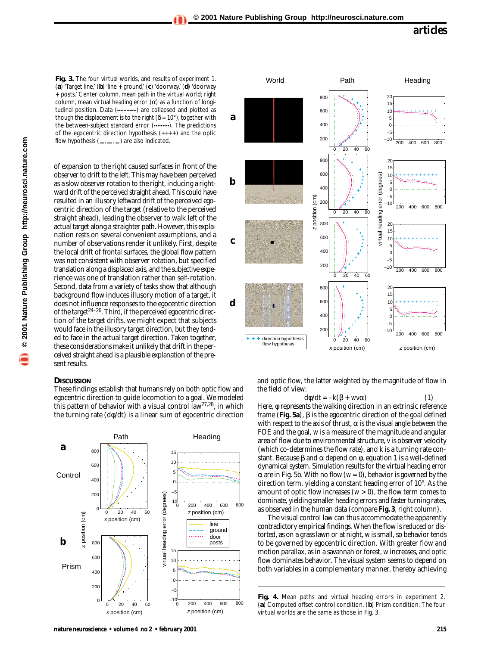*articles*

**Fig. 3.** The four virtual worlds, and results of experiment 1. (**a**) 'Target line,' (**b**) 'line + ground,' (**c**) 'doorway,' (**d**) 'doorway + posts.' Center column, mean path in the virtual world; right column, mean virtual heading error  $(α)$  as a function of longitudinal position. Data (**––––––**) are collapsed and plotted as though the displacement is to the right ( $\delta = 10^{\circ}$ ), together with the between-subject standard error (………). The predictions of the egocentric direction hypothesis (++++) and the optic flow hypothesis  $($ ... $)$  are also indicated.

of expansion to the right caused surfaces in front of the observer to drift to the left. This may have been perceived as a slow observer rotation to the right, inducing a rightward drift of the perceived straight ahead. This could have resulted in an illusory leftward drift of the perceived egocentric direction of the target (relative to the perceived straight ahead), leading the observer to walk left of the actual target along a straighter path. However, this explanation rests on several convenient assumptions, and a number of observations render it unlikely. First, despite the local drift of frontal surfaces, the global flow pattern was not consistent with observer rotation, but specified translation along a displaced axis, and the subjective experience was one of translation rather than self-rotation. Second, data from a variety of tasks show that although background flow induces illusory motion of a target, it does not influence responses to the egocentric direction of the target<sup> $24-26$ </sup>. Third, if the perceived egocentric direction of the target drifts, we might expect that subjects would face in the illusory target direction, but they tended to face in the actual target direction. Taken together, these considerations make it unlikely that drift in the perceived straight ahead is a plausible explanation of the present results.

# **DISCUSSION**

These findings establish that humans rely on both optic flow and egocentric direction to guide locomotion to a goal. We modeled this pattern of behavior with a visual control law<sup>27,28</sup>, in which the turning rate (dφ/d*t*) is a linear sum of egocentric direction





and optic flow, the latter weighted by the magnitude of flow in the field of view:

$$
d\phi/dt = -k(\beta + wv\alpha) \tag{1}
$$

Here, φ represents the walking direction in an extrinsic reference frame (**Fig. 5a**), β is the egocentric direction of the goal defined with respect to the axis of thrust,  $\alpha$  is the visual angle between the FOE and the goal, *w* is a measure of the magnitude and angular area of flow due to environmental structure, *v* is observer velocity (which co-determines the flow rate), and k is a turning rate constant. Because β and  $\alpha$  depend on φ, equation 1 is a well-defined dynamical system. Simulation results for the virtual heading error  $\alpha$  are in Fig. 5b. With no flow ( $w = 0$ ), behavior is governed by the direction term, yielding a constant heading error of 10°. As the amount of optic flow increases  $(w > 0)$ , the flow term comes to dominate, yielding smaller heading errors and faster turning rates, as observed in the human data (compare **Fig. 3**, right column).

The visual control law can thus accommodate the apparently contradictory empirical findings. When the flow is reduced or distorted, as on a grass lawn or at night, *w* is small, so behavior tends to be governed by egocentric direction. With greater flow and motion parallax, as in a savannah or forest, *w* increases, and optic flow dominates behavior. The visual system seems to depend on both variables in a complementary manner, thereby achieving

**Fig. 4.** Mean paths and virtual heading errors in experiment 2. (**a**) Computed offset control condition. (**b**) Prism condition. The four virtual worlds are the same as those in Fig. 3.